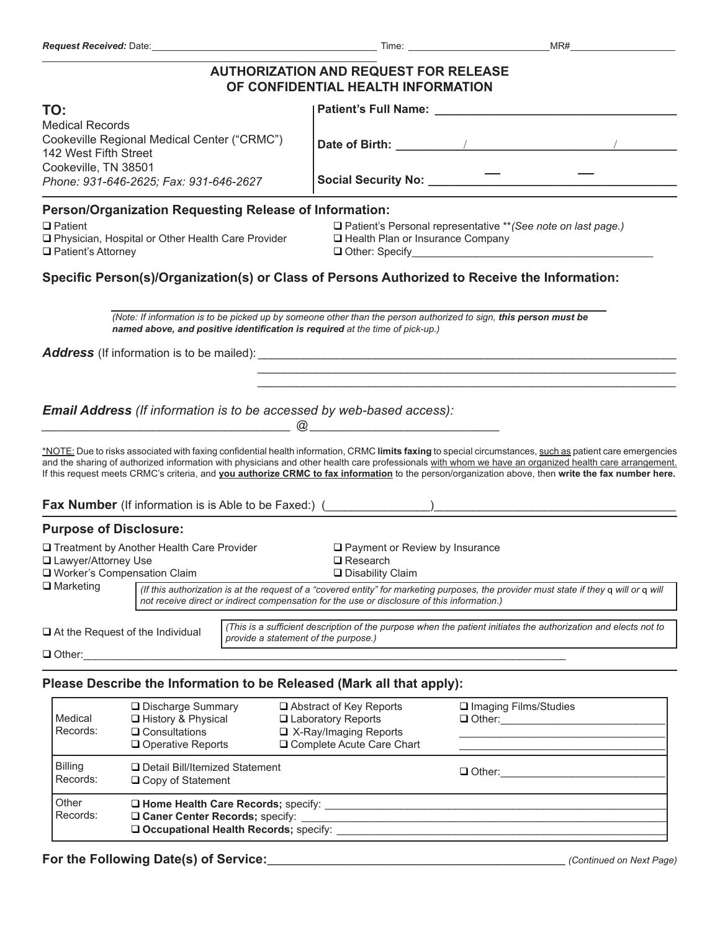\_\_\_\_\_\_\_\_\_\_\_\_\_\_\_\_\_\_\_\_\_\_\_\_\_\_\_\_\_\_\_\_\_\_\_\_\_\_\_\_\_\_\_\_\_\_\_\_\_\_\_\_\_\_\_\_\_\_\_\_\_\_\_\_

## **AUTHORIZATION AND REQUEST FOR RELEASE**

| OF CONFIDENTIAL HEALTH INFORMATION                                                                                                                                                                                                                            |                                                                                                                                                                                                                                                                                                                                                                                                                                                                          |  |
|---------------------------------------------------------------------------------------------------------------------------------------------------------------------------------------------------------------------------------------------------------------|--------------------------------------------------------------------------------------------------------------------------------------------------------------------------------------------------------------------------------------------------------------------------------------------------------------------------------------------------------------------------------------------------------------------------------------------------------------------------|--|
| TO:                                                                                                                                                                                                                                                           | Patient's Full Name: Name and Separate and Separate and Separate and Separate and Separate and Separate and                                                                                                                                                                                                                                                                                                                                                              |  |
| <b>Medical Records</b><br>Cookeville Regional Medical Center ("CRMC")<br>142 West Fifth Street<br>Cookeville, TN 38501                                                                                                                                        |                                                                                                                                                                                                                                                                                                                                                                                                                                                                          |  |
| Phone: 931-646-2625; Fax: 931-646-2627                                                                                                                                                                                                                        |                                                                                                                                                                                                                                                                                                                                                                                                                                                                          |  |
| Person/Organization Requesting Release of Information:                                                                                                                                                                                                        |                                                                                                                                                                                                                                                                                                                                                                                                                                                                          |  |
| $\Box$ Patient<br>□ Physician, Hospital or Other Health Care Provider<br>□ Patient's Attorney                                                                                                                                                                 | □ Patient's Personal representative ** (See note on last page.)<br>□ Health Plan or Insurance Company                                                                                                                                                                                                                                                                                                                                                                    |  |
|                                                                                                                                                                                                                                                               | Specific Person(s)/Organization(s) or Class of Persons Authorized to Receive the Information:                                                                                                                                                                                                                                                                                                                                                                            |  |
| named above, and positive identification is required at the time of pick-up.)                                                                                                                                                                                 | (Note: If information is to be picked up by someone other than the person authorized to sign, this person must be                                                                                                                                                                                                                                                                                                                                                        |  |
|                                                                                                                                                                                                                                                               |                                                                                                                                                                                                                                                                                                                                                                                                                                                                          |  |
|                                                                                                                                                                                                                                                               |                                                                                                                                                                                                                                                                                                                                                                                                                                                                          |  |
|                                                                                                                                                                                                                                                               |                                                                                                                                                                                                                                                                                                                                                                                                                                                                          |  |
| Email Address (If information is to be accessed by web-based access):                                                                                                                                                                                         |                                                                                                                                                                                                                                                                                                                                                                                                                                                                          |  |
| $\overline{\textcircled{a}}$ . The contract of the contract of $\overline{\textcircled{a}}$ . The contract of the contract of the contract of the contract of the contract of the contract of the contract of the contract of the contract of the contract of | *NOTE: Due to risks associated with faxing confidential health information, CRMC limits faxing to special circumstances, such as patient care emergencies<br>and the sharing of authorized information with physicians and other health care professionals with whom we have an organized health care arrangement.<br>If this request meets CRMC's criteria, and you authorize CRMC to fax information to the person/organization above, then write the fax number here. |  |
|                                                                                                                                                                                                                                                               |                                                                                                                                                                                                                                                                                                                                                                                                                                                                          |  |
| <b>Purpose of Disclosure:</b>                                                                                                                                                                                                                                 |                                                                                                                                                                                                                                                                                                                                                                                                                                                                          |  |
| □ Treatment by Another Health Care Provider<br>□ Lawyer/Attorney Use<br>□ Worker's Compensation Claim                                                                                                                                                         | □ Payment or Review by Insurance<br>$\square$ Research<br>□ Disability Claim                                                                                                                                                                                                                                                                                                                                                                                             |  |
| $\Box$ Marketing                                                                                                                                                                                                                                              | (If this authorization is at the request of a "covered entity" for marketing purposes, the provider must state if they q will or q will<br>not receive direct or indirect compensation for the use or disclosure of this information.)                                                                                                                                                                                                                                   |  |
| $\Box$ At the Request of the Individual                                                                                                                                                                                                                       | (This is a sufficient description of the purpose when the patient initiates the authorization and elects not to<br>provide a statement of the purpose.)                                                                                                                                                                                                                                                                                                                  |  |
| $\Box$ Other:                                                                                                                                                                                                                                                 |                                                                                                                                                                                                                                                                                                                                                                                                                                                                          |  |
| Please Describe the Information to be Released (Mark all that apply):                                                                                                                                                                                         |                                                                                                                                                                                                                                                                                                                                                                                                                                                                          |  |
| □ Discharge Summary<br>Medical<br>□ History & Physical<br>Records:<br>$\Box$ Consultations                                                                                                                                                                    | □ Abstract of Key Reports<br>□ Imaging Films/Studies<br>□ Laboratory Reports<br>$\Box$ X-Ray/Imaging Reports                                                                                                                                                                                                                                                                                                                                                             |  |

| Records:                   | $\Box$ Consultations<br>$\Box$ Operative Reports                                                                  | □ X-Ray/Imaging Reports<br>□ Complete Acute Care Chart |               |
|----------------------------|-------------------------------------------------------------------------------------------------------------------|--------------------------------------------------------|---------------|
| <b>Billing</b><br>Records: | □ Detail Bill/Itemized Statement<br>$\Box$ Copy of Statement                                                      |                                                        | $\Box$ Other: |
| l Other<br>Records:        | □ Home Health Care Records; specify:<br>□ Caner Center Records; specify:<br>Occupational Health Records; specify: |                                                        |               |